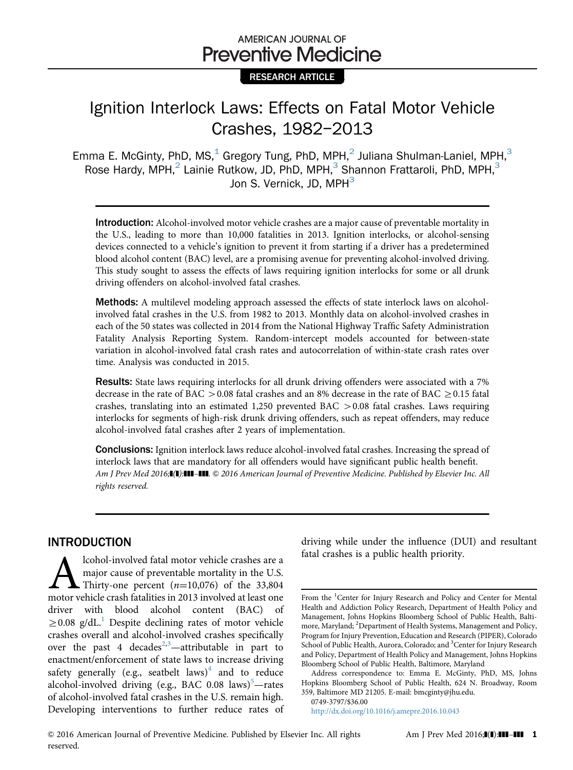# AMERICAN JOURNAL OF **Preventive Medicine**

### RESEARCH ARTICLE

# Ignition Interlock Laws: Effects on Fatal Motor Vehicle Crashes, 1982–2013

Emma E. McGinty, PhD, MS, $<sup>1</sup>$  Gregory Tung, PhD, MPH, $<sup>2</sup>$  Juliana Shulman-Laniel, MPH, $<sup>3</sup>$ </sup></sup></sup> Rose Hardy, MPH,<sup>2</sup> Lainie Rutkow, JD, PhD, MPH,<sup>3</sup> Shannon Frattaroli, PhD, MPH,<sup>3</sup> Jon S. Vernick, JD, MPH<sup>3</sup>

Introduction: Alcohol-involved motor vehicle crashes are a major cause of preventable mortality in the U.S., leading to more than 10,000 fatalities in 2013. Ignition interlocks, or alcohol-sensing devices connected to a vehicle's ignition to prevent it from starting if a driver has a predetermined blood alcohol content (BAC) level, are a promising avenue for preventing alcohol-involved driving. This study sought to assess the effects of laws requiring ignition interlocks for some or all drunk driving offenders on alcohol-involved fatal crashes.

Methods: A multilevel modeling approach assessed the effects of state interlock laws on alcoholinvolved fatal crashes in the U.S. from 1982 to 2013. Monthly data on alcohol-involved crashes in each of the 50 states was collected in 2014 from the National Highway Traffic Safety Administration Fatality Analysis Reporting System. Random-intercept models accounted for between-state variation in alcohol-involved fatal crash rates and autocorrelation of within-state crash rates over time. Analysis was conducted in 2015.

Results: State laws requiring interlocks for all drunk driving offenders were associated with a 7% decrease in the rate of BAC  $>$  0.08 fatal crashes and an 8% decrease in the rate of BAC  $\geq$  0.15 fatal crashes, translating into an estimated 1,250 prevented BAC  $> 0.08$  fatal crashes. Laws requiring interlocks for segments of high-risk drunk driving offenders, such as repeat offenders, may reduce alcohol-involved fatal crashes after 2 years of implementation.

Conclusions: Ignition interlock laws reduce alcohol-involved fatal crashes. Increasing the spread of interlock laws that are mandatory for all offenders would have significant public health benefit. Am J Prev Med 2016;<sup>[4]</sup>:<sup>[1]</sup>:<sup>111</sup>-<sup>111</sup>. © 2016 American Journal of Preventive Medicine. Published by Elsevier Inc. All rights reserved.

## INTRODUCTION

**Alcohol-involved fatal motor vehicle crashes are a** major cause of preventable mortality in the U.S. Thirty-one percent  $(n=10,076)$  of the 33,804 motor vehicle crash fatalities in 2013 involved at least one major cause of preventable mortality in the U.S. Thirty-one percent  $(n=10,076)$  of the 33,804 driver with blood alcohol content (BAC) of  $\geq$  0.08 g/dL.<sup>[1](#page-5-0)</sup> Despite declining rates of motor vehicle crashes overall and alcohol-involved crashes specifically over the past 4 decades<sup>[2,3](#page-5-0)</sup>—attributable in part to enactment/enforcement of state laws to increase driving safety generally (e.g., seatbelt laws)<sup>4</sup> and to reduce alcohol-involved driving (e.g., BAC 0.08 laws)<sup>[5](#page-6-0)</sup>-rates of alcohol-involved fatal crashes in the U.S. remain high. Developing interventions to further reduce rates of

driving while under the influence (DUI) and resultant fatal crashes is a public health priority.

From the <sup>1</sup>Center for Injury Research and Policy and Center for Mental Health and Addiction Policy Research, Department of Health Policy and Management, Johns Hopkins Bloomberg School of Public Health, Baltimore, Maryland; <sup>2</sup>Department of Health Systems, Management and Policy, Program for Injury Prevention, Education and Research (PIPER), Colorado School of Public Health, Aurora, Colorado; and <sup>3</sup>Center for Injury Research and Policy, Department of Health Policy and Management, Johns Hopkins Bloomberg School of Public Health, Baltimore, Maryland

Address correspondence to: Emma E. McGinty, PhD, MS, Johns Hopkins Bloomberg School of Public Health, 624 N. Broadway, Room 359, Baltimore MD 21205. E-mail: [bmcginty@jhu.edu.](mailto:bmcginty@jhu.edu)

<sup>0749-3797/\$36.00</sup>

<http://dx.doi.org/10.1016/j.amepre.2016.10.043>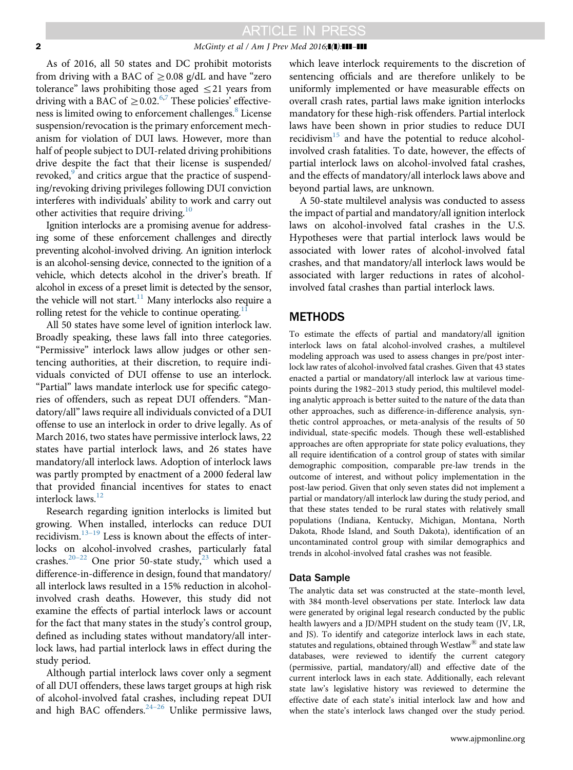#### 2 McGinty et al / Am J Prev Med 2016;1(1):111-111

As of 2016, all 50 states and DC prohibit motorists from driving with a BAC of  $\geq$  0.08 g/dL and have "zero tolerance" laws prohibiting those aged  $\leq$ 21 years from driving with a BAC of  $\geq$  0.02.<sup>[6,7](#page-6-0)</sup> These policies' effective-ness is limited owing to enforcement challenges.<sup>[8](#page-6-0)</sup> License suspension/revocation is the primary enforcement mechanism for violation of DUI laws. However, more than half of people subject to DUI-related driving prohibitions drive despite the fact that their license is suspended/ revoked,<sup>9</sup> and critics argue that the practice of suspending/revoking driving privileges following DUI conviction interferes with individuals' ability to work and carry out other activities that require driving.<sup>[10](#page-6-0)</sup>

Ignition interlocks are a promising avenue for addressing some of these enforcement challenges and directly preventing alcohol-involved driving. An ignition interlock is an alcohol-sensing device, connected to the ignition of a vehicle, which detects alcohol in the driver's breath. If alcohol in excess of a preset limit is detected by the sensor, the vehicle will not start.<sup>11</sup> Many interlocks also require a rolling retest for the vehicle to continue operating.<sup>1</sup>

All 50 states have some level of ignition interlock law. Broadly speaking, these laws fall into three categories. "Permissive" interlock laws allow judges or other sentencing authorities, at their discretion, to require individuals convicted of DUI offense to use an interlock. "Partial" laws mandate interlock use for specific categories of offenders, such as repeat DUI offenders. "Mandatory/all" laws require all individuals convicted of a DUI offense to use an interlock in order to drive legally. As of March 2016, two states have permissive interlock laws, 22 states have partial interlock laws, and 26 states have mandatory/all interlock laws. Adoption of interlock laws was partly prompted by enactment of a 2000 federal law that provided financial incentives for states to enact interlock laws.<sup>[12](#page-6-0)</sup>

Research regarding ignition interlocks is limited but growing. When installed, interlocks can reduce DUI recidivism. $13-19$  $13-19$  $13-19$  Less is known about the effects of interlocks on alcohol-involved crashes, particularly fatal crashes.<sup>[20](#page-6-0)–[22](#page-6-0)</sup> One prior 50-state study,<sup>[23](#page-6-0)</sup> which used a difference-in-difference in design, found that mandatory/ all interlock laws resulted in a 15% reduction in alcoholinvolved crash deaths. However, this study did not examine the effects of partial interlock laws or account for the fact that many states in the study's control group, defined as including states without mandatory/all interlock laws, had partial interlock laws in effect during the study period.

Although partial interlock laws cover only a segment of all DUI offenders, these laws target groups at high risk of alcohol-involved fatal crashes, including repeat DUI and high BAC offenders. $24-26$  $24-26$  Unlike permissive laws, which leave interlock requirements to the discretion of sentencing officials and are therefore unlikely to be uniformly implemented or have measurable effects on overall crash rates, partial laws make ignition interlocks mandatory for these high-risk offenders. Partial interlock laws have been shown in prior studies to reduce DUI recidivism $15$  and have the potential to reduce alcoholinvolved crash fatalities. To date, however, the effects of partial interlock laws on alcohol-involved fatal crashes, and the effects of mandatory/all interlock laws above and beyond partial laws, are unknown.

A 50-state multilevel analysis was conducted to assess the impact of partial and mandatory/all ignition interlock laws on alcohol-involved fatal crashes in the U.S. Hypotheses were that partial interlock laws would be associated with lower rates of alcohol-involved fatal crashes, and that mandatory/all interlock laws would be associated with larger reductions in rates of alcoholinvolved fatal crashes than partial interlock laws.

### METHODS

To estimate the effects of partial and mandatory/all ignition interlock laws on fatal alcohol-involved crashes, a multilevel modeling approach was used to assess changes in pre/post interlock law rates of alcohol-involved fatal crashes. Given that 43 states enacted a partial or mandatory/all interlock law at various timepoints during the 1982–2013 study period, this multilevel modeling analytic approach is better suited to the nature of the data than other approaches, such as difference-in-difference analysis, synthetic control approaches, or meta-analysis of the results of 50 individual, state-specific models. Though these well-established approaches are often appropriate for state policy evaluations, they all require identification of a control group of states with similar demographic composition, comparable pre-law trends in the outcome of interest, and without policy implementation in the post-law period. Given that only seven states did not implement a partial or mandatory/all interlock law during the study period, and that these states tended to be rural states with relatively small populations (Indiana, Kentucky, Michigan, Montana, North Dakota, Rhode Island, and South Dakota), identification of an uncontaminated control group with similar demographics and trends in alcohol-involved fatal crashes was not feasible.

#### Data Sample

The analytic data set was constructed at the state–month level, with 384 month-level observations per state. Interlock law data were generated by original legal research conducted by the public health lawyers and a JD/MPH student on the study team (JV, LR, and JS). To identify and categorize interlock laws in each state, statutes and regulations, obtained through Westlaw $^{\circledR}$  and state law databases, were reviewed to identify the current category (permissive, partial, mandatory/all) and effective date of the current interlock laws in each state. Additionally, each relevant state law's legislative history was reviewed to determine the effective date of each state's initial interlock law and how and when the state's interlock laws changed over the study period.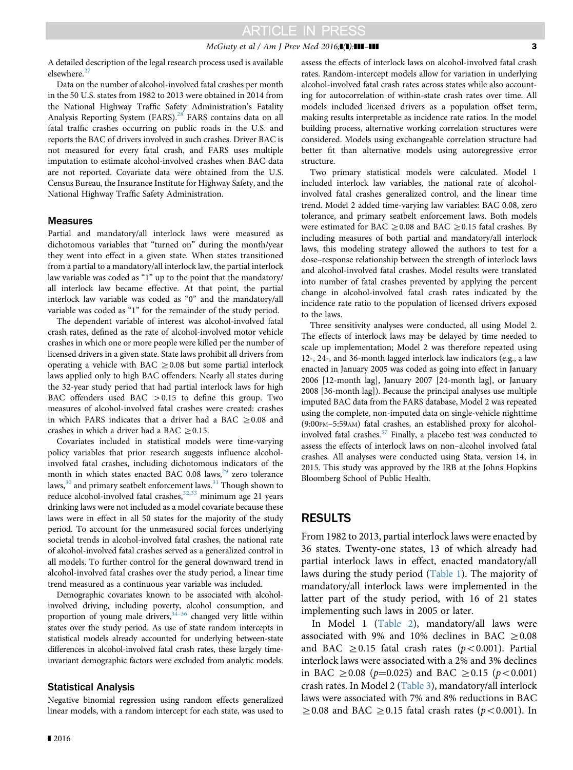#### $McGinty$  et al / Am J Prev Med 2016; $\blacksquare(\blacksquare)$ : $\blacksquare\blacksquare$

A detailed description of the legal research process used is available elsewhere.<sup>[27](#page-6-0)</sup>

Data on the number of alcohol-involved fatal crashes per month in the 50 U.S. states from 1982 to 2013 were obtained in 2014 from the National Highway Traffic Safety Administration's Fatality Analysis Reporting System (FARS).<sup>[28](#page-6-0)</sup> FARS contains data on all fatal traffic crashes occurring on public roads in the U.S. and reports the BAC of drivers involved in such crashes. Driver BAC is not measured for every fatal crash, and FARS uses multiple imputation to estimate alcohol-involved crashes when BAC data are not reported. Covariate data were obtained from the U.S. Census Bureau, the Insurance Institute for Highway Safety, and the National Highway Traffic Safety Administration.

#### **Measures**

Partial and mandatory/all interlock laws were measured as dichotomous variables that "turned on" during the month/year they went into effect in a given state. When states transitioned from a partial to a mandatory/all interlock law, the partial interlock law variable was coded as "1" up to the point that the mandatory/ all interlock law became effective. At that point, the partial interlock law variable was coded as "0" and the mandatory/all variable was coded as "1" for the remainder of the study period.

The dependent variable of interest was alcohol-involved fatal crash rates, defined as the rate of alcohol-involved motor vehicle crashes in which one or more people were killed per the number of licensed drivers in a given state. State laws prohibit all drivers from operating a vehicle with BAC  $\geq$  0.08 but some partial interlock laws applied only to high BAC offenders. Nearly all states during the 32-year study period that had partial interlock laws for high BAC offenders used BAC  $>0.15$  to define this group. Two measures of alcohol-involved fatal crashes were created: crashes in which FARS indicates that a driver had a BAC  $\geq$  0.08 and crashes in which a driver had a BAC  $\geq$  0.15.

Covariates included in statistical models were time-varying policy variables that prior research suggests influence alcoholinvolved fatal crashes, including dichotomous indicators of the month in which states enacted BAC 0.08 laws, $^{29}$  zero tolerance laws, $30$  and primary seatbelt enforcement laws. $31$  Though shown to reduce alcohol-involved fatal crashes,<sup>[32](#page-6-0),[33](#page-6-0)</sup> minimum age 21 years drinking laws were not included as a model covariate because these laws were in effect in all 50 states for the majority of the study period. To account for the unmeasured social forces underlying societal trends in alcohol-involved fatal crashes, the national rate of alcohol-involved fatal crashes served as a generalized control in all models. To further control for the general downward trend in alcohol-involved fatal crashes over the study period, a linear time trend measured as a continuous year variable was included.

Demographic covariates known to be associated with alcoholinvolved driving, including poverty, alcohol consumption, and proportion of young male drivers,  $34-36$  $34-36$  changed very little within states over the study period. As use of state random intercepts in statistical models already accounted for underlying between-state differences in alcohol-involved fatal crash rates, these largely timeinvariant demographic factors were excluded from analytic models.

#### Statistical Analysis

Negative binomial regression using random effects generalized linear models, with a random intercept for each state, was used to

■ 2016

assess the effects of interlock laws on alcohol-involved fatal crash rates. Random-intercept models allow for variation in underlying alcohol-involved fatal crash rates across states while also accounting for autocorrelation of within-state crash rates over time. All models included licensed drivers as a population offset term, making results interpretable as incidence rate ratios. In the model building process, alternative working correlation structures were considered. Models using exchangeable correlation structure had better fit than alternative models using autoregressive error structure.

Two primary statistical models were calculated. Model 1 included interlock law variables, the national rate of alcoholinvolved fatal crashes generalized control, and the linear time trend. Model 2 added time-varying law variables: BAC 0.08, zero tolerance, and primary seatbelt enforcement laws. Both models were estimated for BAC  $\geq$  0.08 and BAC  $\geq$  0.15 fatal crashes. By including measures of both partial and mandatory/all interlock laws, this modeling strategy allowed the authors to test for a dose–response relationship between the strength of interlock laws and alcohol-involved fatal crashes. Model results were translated into number of fatal crashes prevented by applying the percent change in alcohol-involved fatal crash rates indicated by the incidence rate ratio to the population of licensed drivers exposed to the laws.

Three sensitivity analyses were conducted, all using Model 2. The effects of interlock laws may be delayed by time needed to scale up implementation; Model 2 was therefore repeated using 12-, 24-, and 36-month lagged interlock law indicators (e.g., a law enacted in January 2005 was coded as going into effect in January 2006 [12-month lag], January 2007 [24-month lag], or January 2008 [36-month lag]). Because the principal analyses use multiple imputed BAC data from the FARS database, Model 2 was repeated using the complete, non-imputed data on single-vehicle nighttime (9:00PM–5:59AM) fatal crashes, an established proxy for alcoholinvolved fatal crashes. $37$  Finally, a placebo test was conducted to assess the effects of interlock laws on non–alcohol involved fatal crashes. All analyses were conducted using Stata, version 14, in 2015. This study was approved by the IRB at the Johns Hopkins Bloomberg School of Public Health.

### RESULTS

From 1982 to 2013, partial interlock laws were enacted by 36 states. Twenty-one states, 13 of which already had partial interlock laws in effect, enacted mandatory/all laws during the study period [\(Table 1\)](#page-3-0). The majority of mandatory/all interlock laws were implemented in the latter part of the study period, with 16 of 21 states implementing such laws in 2005 or later.

In Model 1 ([Table 2\)](#page-4-0), mandatory/all laws were associated with 9% and 10% declines in BAC  $\geq$  0.08 and BAC  $\geq$  0.15 fatal crash rates (p < 0.001). Partial interlock laws were associated with a 2% and 3% declines in BAC  $\geq$  0.08 (p=0.025) and BAC  $\geq$  0.15 (p < 0.001) crash rates. In Model 2 [\(Table 3\)](#page-4-0), mandatory/all interlock laws were associated with 7% and 8% reductions in BAC  $\geq$  0.08 and BAC  $\geq$  0.15 fatal crash rates (p<0.001). In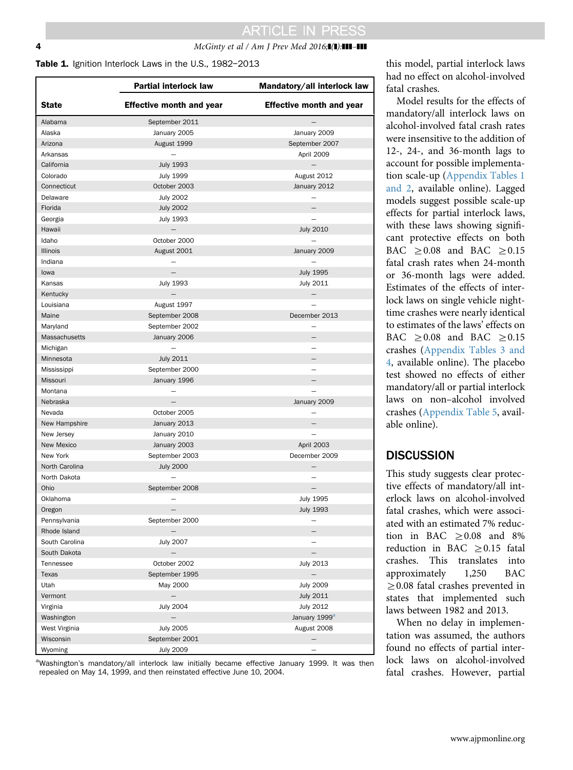### <span id="page-3-0"></span>**4** *McGinty et al / Am J Prev Med 2016*;**1(1):111-111**

#### Table 1. Ignition Interlock Laws in the U.S., 1982-2013

|                 | Partial interlock law           | Mandatory/all interlock law     |
|-----------------|---------------------------------|---------------------------------|
| <b>State</b>    | <b>Effective month and year</b> | <b>Effective month and year</b> |
| Alabama         | September 2011                  |                                 |
| Alaska          | January 2005                    | January 2009                    |
| Arizona         | August 1999                     | September 2007                  |
| Arkansas        |                                 | April 2009                      |
| California      | <b>July 1993</b>                | $\overline{\phantom{0}}$        |
| Colorado        | <b>July 1999</b>                | August 2012                     |
| Connecticut     | October 2003                    | January 2012                    |
| Delaware        | <b>July 2002</b>                |                                 |
| Florida         | <b>July 2002</b>                | $\overline{\phantom{0}}$        |
| Georgia         | <b>July 1993</b>                |                                 |
| Hawaii          |                                 | <b>July 2010</b>                |
| Idaho           | October 2000                    |                                 |
| <b>Illinois</b> | August 2001                     | January 2009                    |
| Indiana         |                                 |                                 |
| lowa            | $\equiv$                        | <b>July 1995</b>                |
| Kansas          | <b>July 1993</b>                | July 2011                       |
| Kentucky        | $-$                             | —                               |
| Louisiana       | August 1997                     |                                 |
| Maine           | September 2008                  | December 2013                   |
| Maryland        | September 2002                  |                                 |
| Massachusetts   | January 2006                    |                                 |
| Michigan        |                                 |                                 |
| Minnesota       | <b>July 2011</b>                |                                 |
| Mississippi     | September 2000                  |                                 |
| Missouri        | January 1996                    |                                 |
| Montana         |                                 |                                 |
| Nebraska        | $\overline{\phantom{0}}$        | January 2009                    |
| Nevada          | October 2005                    |                                 |
| New Hampshire   | January 2013                    |                                 |
| New Jersey      | January 2010                    |                                 |
| New Mexico      | January 2003                    | April 2003                      |
| New York        | September 2003                  | December 2009                   |
| North Carolina  | <b>July 2000</b>                | $\overline{\phantom{0}}$        |
| North Dakota    |                                 |                                 |
| Ohio            | September 2008                  | $\overline{\phantom{0}}$        |
| Oklahoma        |                                 | <b>July 1995</b>                |
| Oregon          |                                 | <b>July 1993</b>                |
| Pennsylvania    | September 2000                  |                                 |
| Rhode Island    | $\qquad \qquad -$               |                                 |
| South Carolina  | <b>July 2007</b>                |                                 |
| South Dakota    |                                 |                                 |
| Tennessee       | October 2002                    | <b>July 2013</b>                |
| Texas           | September 1995                  | $\overline{\phantom{0}}$        |
| Utah            | May 2000                        | <b>July 2009</b>                |
| Vermont         | $\qquad \qquad -$               | July 2011                       |
| Virginia        | <b>July 2004</b>                | <b>July 2012</b>                |
| Washington      |                                 | January 1999 <sup>a</sup>       |
| West Virginia   | <b>July 2005</b>                | August 2008                     |
| Wisconsin       | September 2001                  |                                 |
| Wyoming         | <b>July 2009</b>                |                                 |

<sup>a</sup>Washington's mandatory/all interlock law initially became effective January 1999. It was then repealed on May 14, 1999, and then reinstated effective June 10, 2004.

this model, partial interlock laws had no effect on alcohol-involved fatal crashes.

Model results for the effects of mandatory/all interlock laws on alcohol-involved fatal crash rates were insensitive to the addition of 12-, 24-, and 36-month lags to account for possible implementation scale-up ([Appendix Tables 1](#page-5-0) [and 2,](#page-5-0) available online). Lagged models suggest possible scale-up effects for partial interlock laws, with these laws showing significant protective effects on both BAC  $\geq 0.08$  and BAC  $\geq 0.15$ fatal crash rates when 24-month or 36-month lags were added. Estimates of the effects of interlock laws on single vehicle nighttime crashes were nearly identical to estimates of the laws' effects on BAC  $\geq 0.08$  and BAC  $\geq 0.15$ crashes [\(Appendix Tables 3 and](#page-5-0) [4](#page-5-0), available online). The placebo test showed no effects of either mandatory/all or partial interlock laws on non–alcohol involved crashes [\(Appendix Table 5,](#page-5-0) available online).

### **DISCUSSION**

This study suggests clear protective effects of mandatory/all interlock laws on alcohol-involved fatal crashes, which were associated with an estimated 7% reduction in BAC  $\geq 0.08$  and 8% reduction in BAC  $\geq$  0.15 fatal crashes. This translates into approximately 1,250 BAC  $\geq$  0.08 fatal crashes prevented in states that implemented such laws between 1982 and 2013.

When no delay in implementation was assumed, the authors found no effects of partial interlock laws on alcohol-involved fatal crashes. However, partial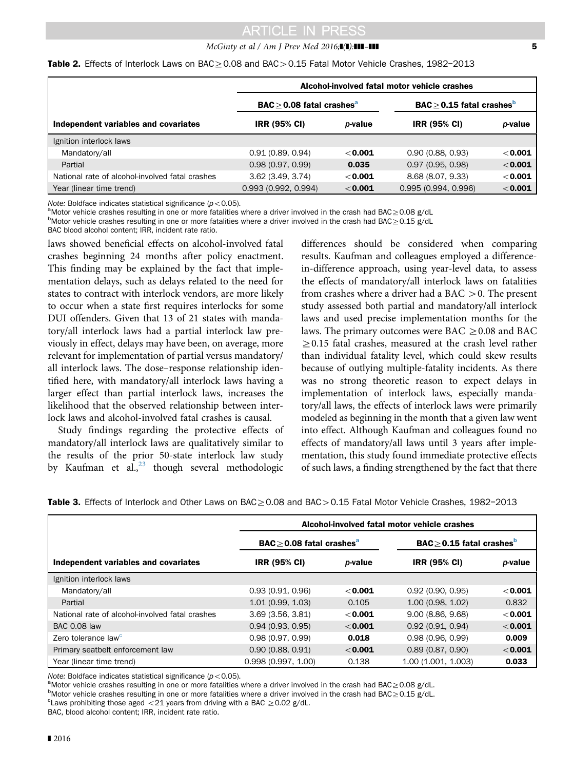### $McGinty$  et al / Am J Prev Med 2016; $\blacksquare$ ): $\blacksquare$ ]  $\blacksquare$

<span id="page-4-0"></span>

|  |  |  |  | <b>Table 2.</b> Effects of Interlock Laws on BAC $\geq$ 0.08 and BAC $>$ 0.15 Fatal Motor Vehicle Crashes, 1982-2013 |  |
|--|--|--|--|----------------------------------------------------------------------------------------------------------------------|--|
|--|--|--|--|----------------------------------------------------------------------------------------------------------------------|--|

|                                                 | Alcohol-involved fatal motor vehicle crashes        |           |                                                   |           |
|-------------------------------------------------|-----------------------------------------------------|-----------|---------------------------------------------------|-----------|
|                                                 | $\mathsf{BAC} \geq 0.08$ fatal crashes <sup>a</sup> |           | $\text{BAC} \geq 0.15$ fatal crashes <sup>b</sup> |           |
| Independent variables and covariates            | <b>IRR (95% CI)</b>                                 | p-value   | <b>IRR (95% CI)</b>                               | p-value   |
| Ignition interlock laws                         |                                                     |           |                                                   |           |
| Mandatory/all                                   | 0.91(0.89, 0.94)                                    | $<$ 0.001 | 0.90(0.88, 0.93)                                  | $<$ 0.001 |
| Partial                                         | 0.98(0.97, 0.99)                                    | 0.035     | 0.97(0.95, 0.98)                                  | $<$ 0.001 |
| National rate of alcohol-involved fatal crashes | $3.62$ (3.49, 3.74)                                 | $<$ 0.001 | 8.68 (8.07, 9.33)                                 | $<$ 0.001 |
| Year (linear time trend)                        | 0.993(0.992, 0.994)                                 | $<$ 0.001 | 0.995(0.994, 0.996)                               | < 0.001   |

Note: Boldface indicates statistical significance ( $p < 0.05$ ).

 $^{\rm a}$ Motor vehicle crashes resulting in one or more fatalities where a driver involved in the crash had BAC $\geq$ 0.08 g/dL

<sup>b</sup>Motor vehicle crashes resulting in one or more fatalities where a driver involved in the crash had BAC $\geq$ 0.15 g/dL

BAC blood alcohol content; IRR, incident rate ratio.

laws showed beneficial effects on alcohol-involved fatal crashes beginning 24 months after policy enactment. This finding may be explained by the fact that implementation delays, such as delays related to the need for states to contract with interlock vendors, are more likely to occur when a state first requires interlocks for some DUI offenders. Given that 13 of 21 states with mandatory/all interlock laws had a partial interlock law previously in effect, delays may have been, on average, more relevant for implementation of partial versus mandatory/ all interlock laws. The dose–response relationship identified here, with mandatory/all interlock laws having a larger effect than partial interlock laws, increases the likelihood that the observed relationship between interlock laws and alcohol-involved fatal crashes is causal.

Study findings regarding the protective effects of mandatory/all interlock laws are qualitatively similar to the results of the prior 50-state interlock law study by Kaufman et al., $^{23}$  $^{23}$  $^{23}$  though several methodologic

differences should be considered when comparing results. Kaufman and colleagues employed a differencein-difference approach, using year-level data, to assess the effects of mandatory/all interlock laws on fatalities from crashes where a driver had a BAC  $>$ 0. The present study assessed both partial and mandatory/all interlock laws and used precise implementation months for the laws. The primary outcomes were BAC  $\geq$  0.08 and BAC  $\geq$  0.15 fatal crashes, measured at the crash level rather than individual fatality level, which could skew results because of outlying multiple-fatality incidents. As there was no strong theoretic reason to expect delays in implementation of interlock laws, especially mandatory/all laws, the effects of interlock laws were primarily modeled as beginning in the month that a given law went into effect. Although Kaufman and colleagues found no effects of mandatory/all laws until 3 years after implementation, this study found immediate protective effects of such laws, a finding strengthened by the fact that there

Table 3. Effects of Interlock and Other Laws on  $BAC \geq 0.08$  and BAC > 0.15 Fatal Motor Vehicle Crashes, 1982-2013

|                                                 | Alcohol-involved fatal motor vehicle crashes |                 |                                                     |           |
|-------------------------------------------------|----------------------------------------------|-----------------|-----------------------------------------------------|-----------|
|                                                 | $BAC > 0.08$ fatal crashes <sup>a</sup>      |                 | $\mathsf{BAC} \geq 0.15$ fatal crashes <sup>b</sup> |           |
| Independent variables and covariates            | <b>IRR (95% CI)</b>                          | <i>p</i> -value | <b>IRR (95% CI)</b>                                 | p-value   |
| Ignition interlock laws                         |                                              |                 |                                                     |           |
| Mandatory/all                                   | 0.93(0.91, 0.96)                             | $<$ 0.001       | 0.92(0.90, 0.95)                                    | $<$ 0.001 |
| Partial                                         | 1.01(0.99, 1.03)                             | 0.105           | 1.00 (0.98, 1.02)                                   | 0.832     |
| National rate of alcohol-involved fatal crashes | 3.69(3.56, 3.81)                             | $<$ 0.001       | 9.00(8.86, 9.68)                                    | $<$ 0.001 |
| <b>BAC 0.08 law</b>                             | 0.94(0.93, 0.95)                             | $<$ 0.001       | 0.92(0.91, 0.94)                                    | $<$ 0.001 |
| Zero tolerance law <sup>c</sup>                 | 0.98(0.97, 0.99)                             | 0.018           | 0.98(0.96, 0.99)                                    | 0.009     |
| Primary seatbelt enforcement law                | 0.90(0.88, 0.91)                             | $<$ 0.001       | 0.89(0.87, 0.90)                                    | $<$ 0.001 |
| Year (linear time trend)                        | 0.998(0.997, 1.00)                           | 0.138           | 1.00 (1.001, 1.003)                                 | 0.033     |

Note: Boldface indicates statistical significance ( $p < 0.05$ ).

<sup>a</sup>Motor vehicle crashes resulting in one or more fatalities where a driver involved in the crash had BAC $\geq$ 0.08 g/dL.

 $b$ Motor vehicle crashes resulting in one or more fatalities where a driver involved in the crash had BAC $\geq$ 0.15 g/dL.

BAC, blood alcohol content; IRR, incident rate ratio.

<sup>&</sup>lt;sup>c</sup> Laws prohibiting those aged  $\langle 21 \rangle$  years from driving with a BAC  $\geq$  0.02 g/dL.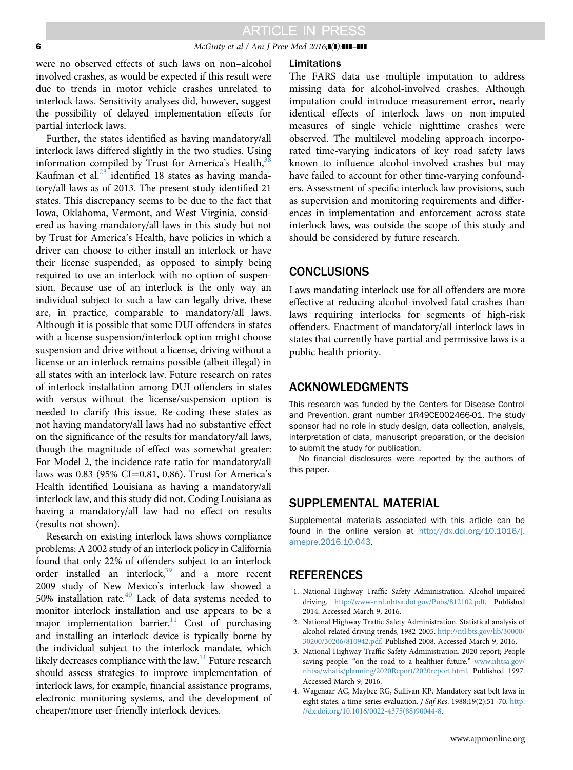#### <span id="page-5-0"></span>6  $McGinty \ et \ al \ / \ Am \ J \ Prev \ Med \ 2016; \blacksquare \blacksquare \blacksquare \blacksquare \blacksquare$

were no observed effects of such laws on non–alcohol involved crashes, as would be expected if this result were due to trends in motor vehicle crashes unrelated to interlock laws. Sensitivity analyses did, however, suggest the possibility of delayed implementation effects for partial interlock laws.

Further, the states identified as having mandatory/all interlock laws differed slightly in the two studies. Using information compiled by Trust for America's Health, $3$ Kaufman et al. $^{23}$  $^{23}$  $^{23}$  identified 18 states as having mandatory/all laws as of 2013. The present study identified 21 states. This discrepancy seems to be due to the fact that Iowa, Oklahoma, Vermont, and West Virginia, considered as having mandatory/all laws in this study but not by Trust for America's Health, have policies in which a driver can choose to either install an interlock or have their license suspended, as opposed to simply being required to use an interlock with no option of suspension. Because use of an interlock is the only way an individual subject to such a law can legally drive, these are, in practice, comparable to mandatory/all laws. Although it is possible that some DUI offenders in states with a license suspension/interlock option might choose suspension and drive without a license, driving without a license or an interlock remains possible (albeit illegal) in all states with an interlock law. Future research on rates of interlock installation among DUI offenders in states with versus without the license/suspension option is needed to clarify this issue. Re-coding these states as not having mandatory/all laws had no substantive effect on the significance of the results for mandatory/all laws, though the magnitude of effect was somewhat greater: For Model 2, the incidence rate ratio for mandatory/all laws was  $0.83$  (95% CI=0.81, 0.86). Trust for America's Health identified Louisiana as having a mandatory/all interlock law, and this study did not. Coding Louisiana as having a mandatory/all law had no effect on results (results not shown).

Research on existing interlock laws shows compliance problems: A 2002 study of an interlock policy in California found that only 22% of offenders subject to an interlock order installed an interlock, $39$  and a more recent 2009 study of New Mexico's interlock law showed a 50% installation rate[.40](#page-6-0) Lack of data systems needed to monitor interlock installation and use appears to be a major implementation barrier.<sup>[11](#page-6-0)</sup> Cost of purchasing and installing an interlock device is typically borne by the individual subject to the interlock mandate, which likely decreases compliance with the law.<sup>11</sup> Future research should assess strategies to improve implementation of interlock laws, for example, financial assistance programs, electronic monitoring systems, and the development of cheaper/more user-friendly interlock devices.

#### Limitations

The FARS data use multiple imputation to address missing data for alcohol-involved crashes. Although imputation could introduce measurement error, nearly identical effects of interlock laws on non-imputed measures of single vehicle nighttime crashes were observed. The multilevel modeling approach incorporated time-varying indicators of key road safety laws known to influence alcohol-involved crashes but may have failed to account for other time-varying confounders. Assessment of specific interlock law provisions, such as supervision and monitoring requirements and differences in implementation and enforcement across state interlock laws, was outside the scope of this study and should be considered by future research.

### **CONCLUSIONS**

Laws mandating interlock use for all offenders are more effective at reducing alcohol-involved fatal crashes than laws requiring interlocks for segments of high-risk offenders. Enactment of mandatory/all interlock laws in states that currently have partial and permissive laws is a public health priority.

### ACKNOWLEDGMENTS

This research was funded by the Centers for Disease Control and Prevention, grant number 1R49CE002466-01. The study sponsor had no role in study design, data collection, analysis, interpretation of data, manuscript preparation, or the decision to submit the study for publication.

No financial disclosures were reported by the authors of this paper.

### SUPPLEMENTAL MATERIAL

Supplemental materials associated with this article can be found in the online version at [http://dx.doi.org/10.1016/j.](http://dx.doi.org/10.1016/j.amepre.2016.10.043) [amepre.2016.10.043.](http://dx.doi.org/10.1016/j.amepre.2016.10.043)

### **REFERENCES**

- 1. National Highway Traffic Safety Administration. Alcohol-impaired driving. [http://www-nrd.nhtsa.dot.gov/Pubs/812102.pdf.](http://www-nrd.nhtsa.dot.gov/Pubs/812102.pdf) Published 2014. Accessed March 9, 2016.
- 2. National Highway Traffic Safety Administration. Statistical analysis of alcohol-related driving trends, 1982-2005. [http://ntl.bts.gov/lib/30000/](http://ntl.bts.gov/lib/30000/30200/30206/810942.pdf) [30200/30206/810942.pdf](http://ntl.bts.gov/lib/30000/30200/30206/810942.pdf). Published 2008. Accessed March 9, 2016.
- 3. National Highway Traffic Safety Administration. 2020 report; People saving people: "on the road to a healthier future." [www.nhtsa.gov/](http://www.nhtsa.gov/nhtsa/whatis/planning/2020Report/2020report.html) [nhtsa/whatis/planning/2020Report/2020report.html.](http://www.nhtsa.gov/nhtsa/whatis/planning/2020Report/2020report.html) Published 1997. Accessed March 9, 2016.
- 4. Wagenaar AC, Maybee RG, Sullivan KP. Mandatory seat belt laws in eight states: a time-series evaluation. J Saf Res. 1988;19(2):51–70. [http:](http://dx.doi.org/10.1016/0022-4375(88)90044-8) [//dx.doi.org/10.1016/0022-4375\(88\)90044-8.](http://dx.doi.org/10.1016/0022-4375(88)90044-8)